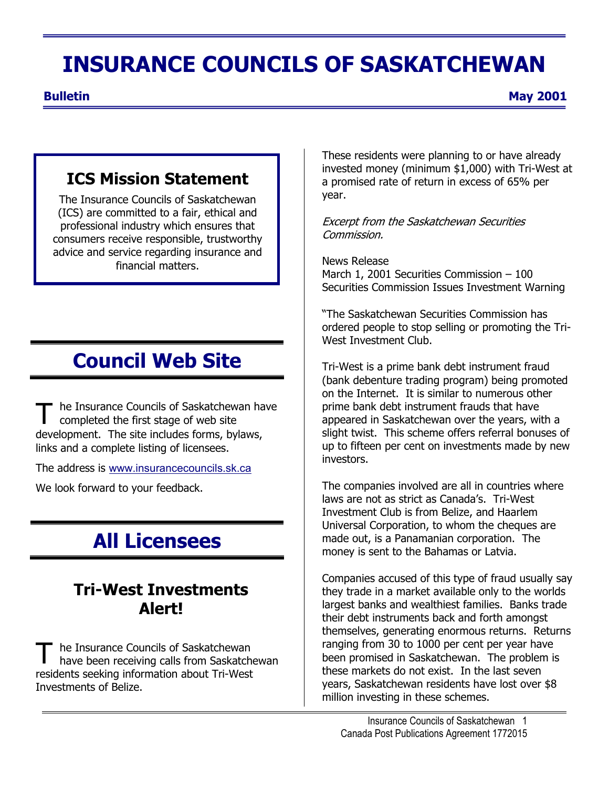# **INSURANCE COUNCILS OF SASKATCHEWAN**

**Bulletin May 2001** 

### **ICS Mission Statement**

The Insurance Councils of Saskatchewan (ICS) are committed to a fair, ethical and professional industry which ensures that consumers receive responsible, trustworthy advice and service regarding insurance and financial matters.

# **Council Web Site** Tri-West is a prime bank debt instrument fraud

he Insurance Councils of Saskatchewan have completed the first stage of web site development. The site includes forms, bylaws, links and a complete listing of licensees.

The address is [www.insurancecouncils.sk.ca](http://www.insurancecouncils.sk.ca/)

We look forward to your feedback.

# **All Licensees**

### **Tri-West Investments Alert!**

T he Insurance Councils of Saskatchewan<br>have been receiving calls from Saskatchewan residents seeking information about Tri-West Investments of Belize.

These residents were planning to or have already invested money (minimum \$1,000) with Tri-West at a promised rate of return in excess of 65% per year.

Excerpt from the Saskatchewan Securities Commission.

News Release March 1, 2001 Securities Commission – 100 Securities Commission Issues Investment Warning

"The Saskatchewan Securities Commission has ordered people to stop selling or promoting the Tri-West Investment Club.

(bank debenture trading program) being promoted on the Internet. It is similar to numerous other prime bank debt instrument frauds that have appeared in Saskatchewan over the years, with a slight twist. This scheme offers referral bonuses of up to fifteen per cent on investments made by new investors.

The companies involved are all in countries where laws are not as strict as Canada's. Tri-West Investment Club is from Belize, and Haarlem Universal Corporation, to whom the cheques are made out, is a Panamanian corporation. The money is sent to the Bahamas or Latvia.

Companies accused of this type of fraud usually say they trade in a market available only to the worlds largest banks and wealthiest families. Banks trade their debt instruments back and forth amongst themselves, generating enormous returns. Returns ranging from 30 to 1000 per cent per year have been promised in Saskatchewan. The problem is these markets do not exist. In the last seven years, Saskatchewan residents have lost over \$8 million investing in these schemes.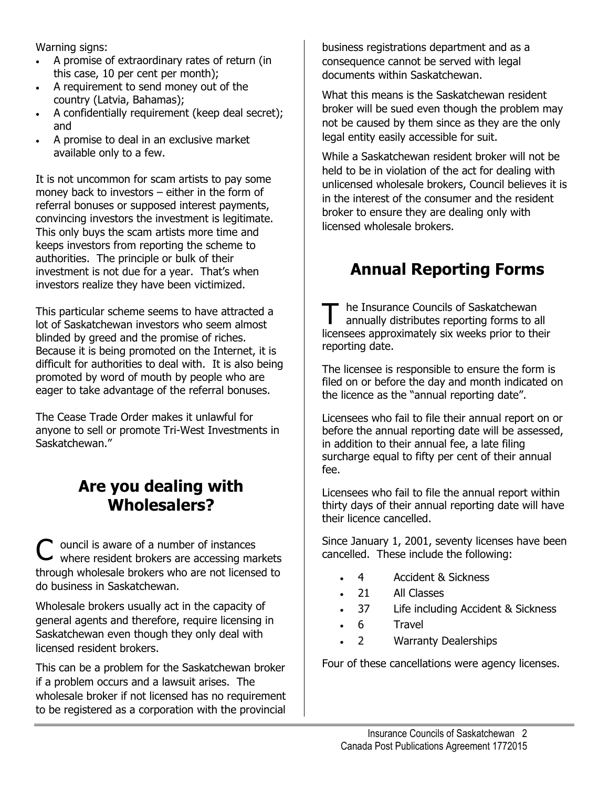Warning signs:

- A promise of extraordinary rates of return (in this case, 10 per cent per month);
- A requirement to send money out of the country (Latvia, Bahamas);
- A confidentially requirement (keep deal secret); and
- A promise to deal in an exclusive market available only to a few.

It is not uncommon for scam artists to pay some money back to investors – either in the form of referral bonuses or supposed interest payments, convincing investors the investment is legitimate. This only buys the scam artists more time and keeps investors from reporting the scheme to authorities. The principle or bulk of their investment is not due for a year. That's when investors realize they have been victimized.

This particular scheme seems to have attracted a lot of Saskatchewan investors who seem almost blinded by greed and the promise of riches. Because it is being promoted on the Internet, it is difficult for authorities to deal with. It is also being promoted by word of mouth by people who are eager to take advantage of the referral bonuses.

The Cease Trade Order makes it unlawful for anyone to sell or promote Tri-West Investments in Saskatchewan."

### **Are you dealing with Wholesalers?**

C ouncil is aware of a number of instances where resident brokers are accessing markets through wholesale brokers who are not licensed to do business in Saskatchewan.

Wholesale brokers usually act in the capacity of general agents and therefore, require licensing in Saskatchewan even though they only deal with licensed resident brokers.

This can be a problem for the Saskatchewan broker if a problem occurs and a lawsuit arises. The wholesale broker if not licensed has no requirement to be registered as a corporation with the provincial

business registrations department and as a consequence cannot be served with legal documents within Saskatchewan.

What this means is the Saskatchewan resident broker will be sued even though the problem may not be caused by them since as they are the only legal entity easily accessible for suit.

While a Saskatchewan resident broker will not be held to be in violation of the act for dealing with unlicensed wholesale brokers, Council believes it is in the interest of the consumer and the resident broker to ensure they are dealing only with licensed wholesale brokers.

### **Annual Reporting Forms**

The Insurance Councils of Saskatchewan<br>
annually distributes reporting forms to all licensees approximately six weeks prior to their reporting date.

The licensee is responsible to ensure the form is filed on or before the day and month indicated on the licence as the "annual reporting date".

Licensees who fail to file their annual report on or before the annual reporting date will be assessed, in addition to their annual fee, a late filing surcharge equal to fifty per cent of their annual fee.

Licensees who fail to file the annual report within thirty days of their annual reporting date will have their licence cancelled.

Since January 1, 2001, seventy licenses have been cancelled. These include the following:

- 4 Accident & Sickness
- 21 All Classes
- 37 Life including Accident & Sickness
- 6 Travel
- 2 **Warranty Dealerships**

Four of these cancellations were agency licenses.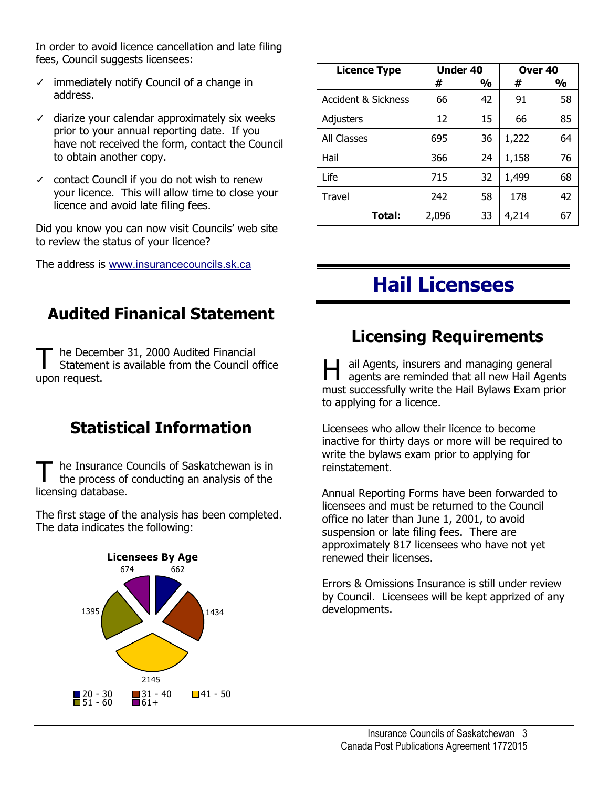In order to avoid licence cancellation and late filing fees, Council suggests licensees:

- ✓ immediately notify Council of a change in address.
- $\checkmark$  diarize your calendar approximately six weeks prior to your annual reporting date. If you have not received the form, contact the Council to obtain another copy.
- ✓ contact Council if you do not wish to renew your licence. This will allow time to close your licence and avoid late filing fees.

Did you know you can now visit Councils' web site to review the status of your licence?

The address is [www.insurancecouncils.sk.ca](http://www.insurancecouncils.sk.ca/)

### **Audited Finanical Statement**

The December 31, 2000 Audited Financial<br>
Statement is available from the Council office<br>
upon request.<br>
upon request.

### **Statistical Information Licensees who allow their licence to become**

The Insurance Councils of Saskatchewan is in the process of conducting an analysis of the licensing database. the process of conducting an analysis of the

The first stage of the analysis has been completed. The data indicates the following:



| <b>Licence Type</b>            | <b>Under 40</b> |    | Over <sub>40</sub> |    |
|--------------------------------|-----------------|----|--------------------|----|
|                                | #               | %  | #                  | %  |
| <b>Accident &amp; Sickness</b> | 66              | 42 | 91                 | 58 |
| Adjusters                      | 12              | 15 | 66                 | 85 |
| All Classes                    | 695             | 36 | 1,222              | 64 |
| Hail                           | 366             | 24 | 1,158              | 76 |
| Life                           | 715             | 32 | 1,499              | 68 |
| <b>Travel</b>                  | 242             | 58 | 178                | 42 |
| Total:                         | 2,096           | 33 | 4,214              | 67 |

# **Hail Licensees**

### **Licensing Requirements**

agents are reminded that all new Hail Agents must successfully write the Hail Bylaws Exam prior to applying for a licence.

inactive for thirty days or more will be required to write the bylaws exam prior to applying for

Annual Reporting Forms have been forwarded to licensees and must be returned to the Council office no later than June 1, 2001, to avoid suspension or late filing fees. There are approximately 817 licensees who have not yet renewed their licenses.

Errors & Omissions Insurance is still under review by Council. Licensees will be kept apprized of any developments.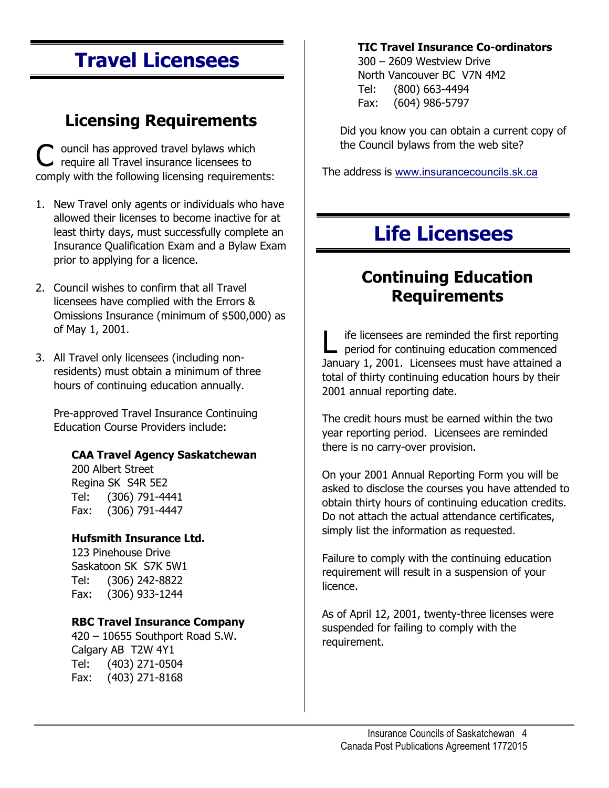# **Travel Licensees**

# **Licensing Requirements** <u>Did you know you can obtain a current copy of</u>

C ouncil has approved travel bylaws which the Council bylaws from the web site?<br>
require all Travel insurance licensees to comply with the following licensing requirements: The address is [www.insurancecouncils.sk.ca](http://www.insurancecouncils.sk.ca/)

- 1. New Travel only agents or individuals who have allowed their licenses to become inactive for at least thirty days, must successfully complete an Insurance Qualification Exam and a Bylaw Exam prior to applying for a licence.
- 2. Council wishes to confirm that all Travel<br>licensees have complied with the Frrors & licensees have complied with the Errors & Omissions Insurance (minimum of \$500,000) as
- 3. All Travel only licensees (including nonresidents) must obtain a minimum of three hours of continuing education annually.

Pre-approved Travel Insurance Continuing Education Course Providers include:

### there is no carry-over provision. **CAA Travel Agency Saskatchewan**

Regina SK S4R 5E2 Tel: (306) 791-4441 Fax: (306) 791-4447

#### **Hufsmith Insurance Ltd.**

Saskatoon SK S7K 5W1 Tel: (306) 242-8822 Fax: (306) 933-1244

### **RBC Travel Insurance Company**

420 – 10655 Southport Road S.W. Calgary AB T2W 4Y1 Tel: (403) 271-0504 Fax: (403) 271-8168

#### **TIC Travel Insurance Co-ordinators**

North Vancouver BC V7N 4M2 Tel: (800) 663-4494 Fax: (604) 986-5797

# **Life Licensees**

# **Continuing Education**

of May 1, 2001.<br>
L ife licensees are reminded the first reporting<br>
NI Travel only licensees (including non-January 1, 2001. Licensees must have attained a total of thirty continuing education hours by their 2001 annual reporting date.

> The credit hours must be earned within the two year reporting period. Licensees are reminded

200 Albert Street On your 2001 Annual Reporting Form you will be asked to disclose the courses you have attended to obtain thirty hours of continuing education credits. Do not attach the actual attendance certificates, simply list the information as requested.

123 Pinehouse Drive **Failure to comply with the continuing education** requirement will result in a suspension of your licence.

> As of April 12, 2001, twenty-three licenses were suspended for failing to comply with the requirement.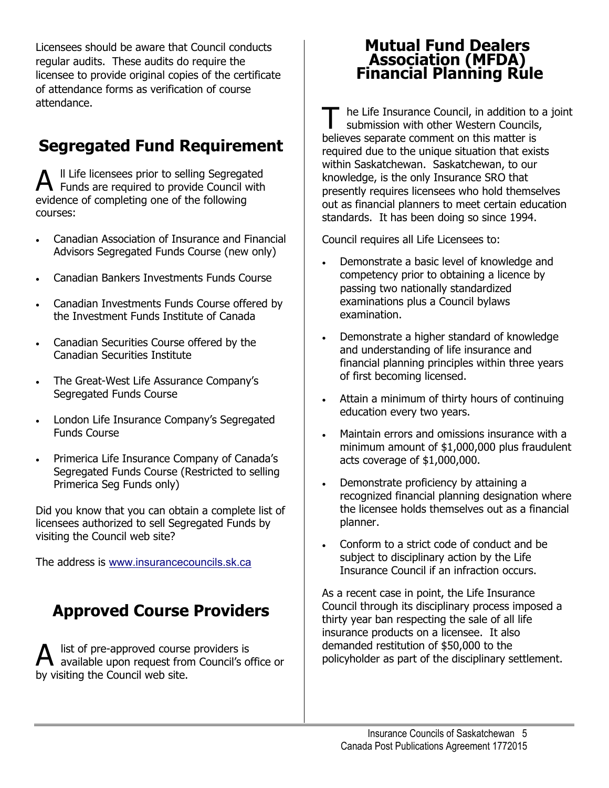Licensees should be aware that Council conducts regular audits. These audits do require the licensee to provide original copies of the certificate of attendance forms as verification of course attendance.

### **Segregated Fund Requirement**

A II Life licensees prior to selling Segregated<br>Funds are required to provide Council with evidence of completing one of the following courses:

- Canadian Association of Insurance and Financial Advisors Segregated Funds Course (new only)
- Canadian Bankers Investments Funds Course
- Canadian Investments Funds Course offered by the Investment Funds Institute of Canada
- Canadian Securities Course offered by the Canadian Securities Institute
- The Great-West Life Assurance Company's
- London Life Insurance Company's Segregated entity reducation every two years.
- Primerica Life Insurance Company of Canada's acts coverage of \$1,000,000. Segregated Funds Course (Restricted to selling Primerica Seg Funds only) **Example 2 Figure 1 •** Demonstrate proficiency by attaining a

Did you know that you can obtain a complete list of licensees authorized to sell Segregated Funds by visiting the Council web site?

The address is [www.insurancecouncils.sk.ca](http://www.insurancecouncils.sk.ca/)

### **Approved Course Providers**

A list of pre-approved course providers is available upon request from Council's office or by visiting the Council web site.

### **Mutual Fund Dealers Association (MFDA) Financial Planning Rule**

he Life Insurance Council, in addition to a joint submission with other Western Councils, believes separate comment on this matter is required due to the unique situation that exists within Saskatchewan. Saskatchewan, to our knowledge, is the only Insurance SRO that presently requires licensees who hold themselves out as financial planners to meet certain education standards. It has been doing so since 1994.

Council requires all Life Licensees to:

- Demonstrate a basic level of knowledge and competency prior to obtaining a licence by passing two nationally standardized examinations plus a Council bylaws examination.
- Demonstrate a higher standard of knowledge and understanding of life insurance and financial planning principles within three years of first becoming licensed.
- Segregated Funds Course **Funds** Course **Funds Funds Funds Funds Funds Funds Funds Funds Funds Funds Funds Funds Funds Funds Funds Funds Funds Funds Funds Funds Funds Funds Funds**
- Funds Course **Funds** Course **Funds** Course **Funds** Course **Funds** Course **Funds** Course with a minimum amount of \$1,000,000 plus fraudulent
	- recognized financial planning designation where the licensee holds themselves out as a financial planner.
	- subject to disciplinary action by the Life Insurance Council if an infraction occurs.

As a recent case in point, the Life Insurance Council through its disciplinary process imposed a thirty year ban respecting the sale of all life insurance products on a licensee. It also demanded restitution of \$50,000 to the policyholder as part of the disciplinary settlement.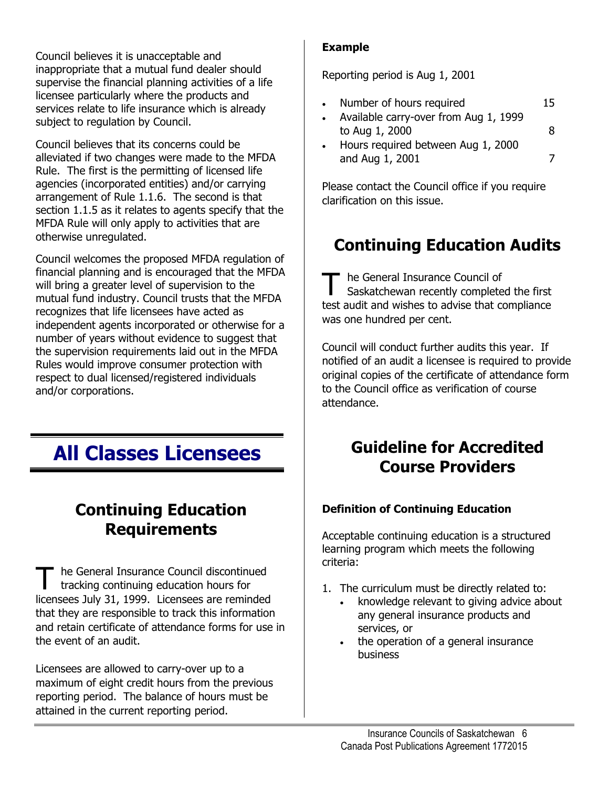**Example** Council believes it is unacceptable and inappropriate that a mutual fund dealer should supervise the financial planning activities of a life licensee particularly where the products and services relate to life insurance which is already subject to regulation by Council.

Council believes that its concerns could be alleviated if two changes were made to the MFDA Rule. The first is the permitting of licensed life agencies (incorporated entities) and/or carrying arrangement of Rule 1.1.6. The second is that section 1.1.5 as it relates to agents specify that the MFDA Rule will only apply to activities that are otherwise unregulated.

Council welcomes the proposed MFDA regulation of financial planning and is encouraged that the MFDA will bring a greater level of supervision to the mutual fund industry. Council trusts that the MFDA recognizes that life licensees have acted as independent agents incorporated or otherwise for a number of years without evidence to suggest that the supervision requirements laid out in the MFDA Rules would improve consumer protection with respect to dual licensed/registered individuals and/or corporations.

### **Continuing Education Requirements**

he General Insurance Council discontinued tracking continuing education hours for licensees July 31, 1999. Licensees are reminded that they are responsible to track this information and retain certificate of attendance forms for use in the event of an audit.

Licensees are allowed to carry-over up to a maximum of eight credit hours from the previous reporting period. The balance of hours must be attained in the current reporting period.

Reporting period is Aug 1, 2001

- Number of hours required 15
- Available carry-over from Aug 1, 1999 to Aug 1, 2000 8
- Hours required between Aug 1, 2000 and Aug 1, 2001 7

Please contact the Council office if you require clarification on this issue.

### **Continuing Education Audits**

T he General Insurance Council of<br>
Saskatchewan recently completed the first test audit and wishes to advise that compliance was one hundred per cent.

Council will conduct further audits this year. If notified of an audit a licensee is required to provide original copies of the certificate of attendance form to the Council office as verification of course attendance.

### **All Classes Licensees** Guideline for Accredited **Course Providers**

### **Definition of Continuing Education**

Acceptable continuing education is a structured learning program which meets the following criteria:

- 1. The curriculum must be directly related to:
	- knowledge relevant to giving advice about any general insurance products and services, or
	- the operation of a general insurance business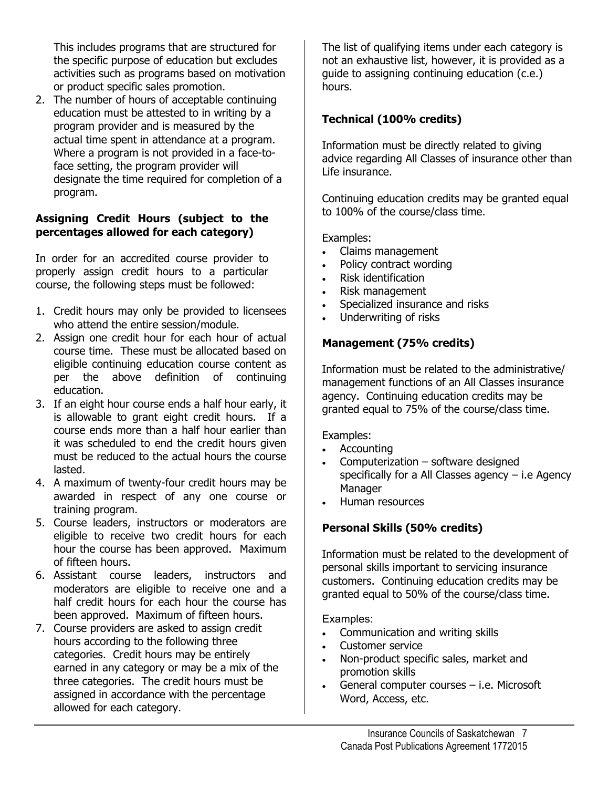This includes programs that are structured for the specific purpose of education but excludes activities such as programs based on motivation or product specific sales promotion.

2. The number of hours of acceptable continuing education must be attested to in writing by a program provider and is measured by the actual time spent in attendance at a program. Where a program is not provided in a face-toface setting, the program provider will designate the time required for completion of a program.

### to 100% of the course/class time. **Assigning Credit Hours (subject to the percentages allowed for each category)** Examples:

In order for an accredited course provider to **Claims management**<br>Policy contract wording properly assign credit hours to a particular course, the following steps must be followed:

- 1. Credit hours may only be provided to licensees <br>
a Underwriting of risks who attend the entire session/module.
- 2. Assign one credit hour for each hour of actual course time. These must be allocated based on eligible continuing education course content as per the above definition of continuing education.
- 3. If an eight hour course ends a half hour early, it  $\begin{array}{c} \text{gence,} \\ \text{granted equal to 75% of the course/class time.} \end{array}$ is allowable to grant eight credit hours. If a course ends more than a half hour earlier than it was scheduled to end the credit hours given must be reduced to the actual hours the course lasted.
- 4. A maximum of twenty-four credit hours may be Manager awarded in respect of any one course or **Finance in the manufall of the set of any** one course or **Finance** Human resources
- 5. Course leaders, instructors or moderators are eligible to receive two credit hours for each hour the course has been approved. Maximum of fifteen hours.
- 6. Assistant course leaders, instructors and moderators are eligible to receive one and a half credit hours for each hour the course has been approved. Maximum of fifteen hours.<br>
7. Course providers are asked to assign credit  $\begin{array}{ccc} \bullet & \bullet \\ \bullet & \bullet \end{array}$
- hours according to the following three categories. Credit hours may be entirely earned in any category or may be a mix of the three categories. The credit hours must be assigned in accordance with the percentage allowed for each category.

The list of qualifying items under each category is not an exhaustive list, however, it is provided as a guide to assigning continuing education (c.e.) hours.

### **Technical (100% credits)**

Information must be directly related to giving advice regarding All Classes of insurance other than Life insurance.

Continuing education credits may be granted equal

- 
- Policy contract wording
- Risk identification
- Risk management
- 
- 

#### **Management (75% credits)**

Information must be related to the administrative/ management functions of an All Classes insurance agency. Continuing education credits may be

Examples:

- Accounting
- Computerization software designed specifically for a All Classes agency – i.e Agency
- 

### **Personal Skills (50% credits)**

Information must be related to the development of personal skills important to servicing insurance customers. Continuing education credits may be granted equal to 50% of the course/class time.

- Communication and writing skills
- Customer service
- Non-product specific sales, market and promotion skills
- General computer courses i.e. Microsoft Word, Access, etc.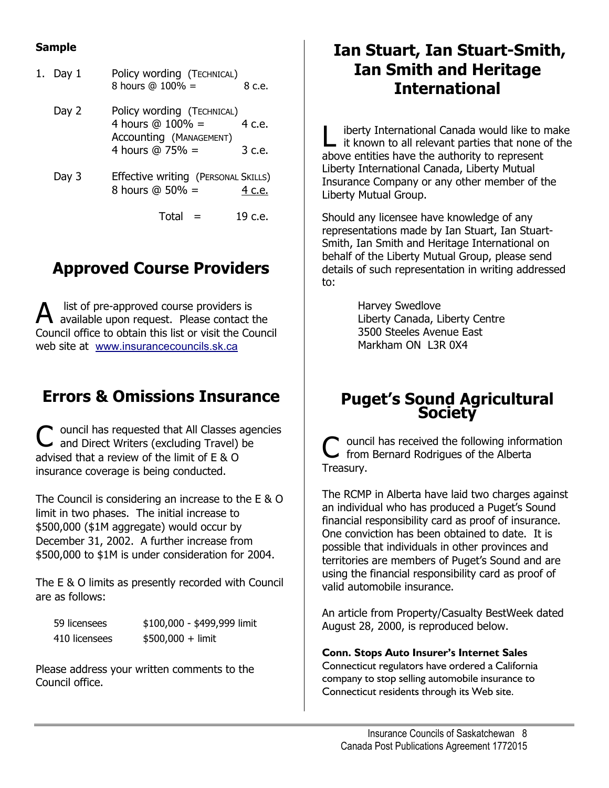#### **Sample**

| 1. Day 1 | Policy wording (TECHNICAL)<br>8 hours @ 100% =                                                    | 8 c.e. |
|----------|---------------------------------------------------------------------------------------------------|--------|
| Day 2    | Policy wording (TECHNICAL)<br>4 hours $@ 100\% =$<br>Accounting (MANAGEMENT)<br>4 hours $@75\% =$ | 4 c.e. |
|          |                                                                                                   | 3 c.e. |
| Day 3    | Effective writing (PERSONAL SKILLS)<br>8 hours $@50\% =$                                          | c.e.   |
|          |                                                                                                   |        |

### **Approved Course Providers**

A list of pre-approved course providers is<br>A available upon request. Please contact the Council office to obtain this list or visit the Council web site at [www.insurancecouncils.sk.ca](http://www.insurancecouncils.sk.ca/)

C ouncil has requested that All Classes agencies and Direct Writers (excluding Travel) be advised that a review of the limit of E & O insurance coverage is being conducted.

The Council is considering an increase to the E & O limit in two phases. The initial increase to \$500,000 (\$1M aggregate) would occur by December 31, 2002. A further increase from \$500,000 to \$1M is under consideration for 2004.

The E & O limits as presently recorded with Council are as follows:

| 59 licensees  | \$100,000 - \$499,999 limit |
|---------------|-----------------------------|
| 410 licensees | $$500,000 + limit$          |

Please address your written comments to the Council office.

### **Ian Stuart, Ian Stuart-Smith, Ian Smith and Heritage International**

4 hours @ 100% = 4 c.e.  $\begin{array}{c} 4 \text{ hours } @ 100\% = 4 \text{ c.e.} \\ \text{According (MANAGEMENT)} \\ 4 \text{ hours } @ 75\% = 3 \text{ c.e.} \end{array}$  L it known to all relevant parties that none of the above entities have the authority to represent Liberty International Canada, Liberty Mutual Insurance Company or any other member of the Liberty Mutual Group.

> Total = 19 c.e. Should any licensee have knowledge of any representations made by Ian Stuart, Ian Stuart-Smith, Ian Smith and Heritage International on behalf of the Liberty Mutual Group, please send details of such representation in writing addressed to:

> > Harvey Swedlove Liberty Canada, Liberty Centre 3500 Steeles Avenue East Markham ON L3R 0X4

# **Errors & Omissions Insurance | Puget's Sound Agricultural Society**

C ouncil has received the following information from Bernard Rodrigues of the Alberta Treasury.

The RCMP in Alberta have laid two charges against an individual who has produced a Puget's Sound financial responsibility card as proof of insurance. One conviction has been obtained to date. It is possible that individuals in other provinces and territories are members of Puget's Sound and are using the financial responsibility card as proof of valid automobile insurance.

An article from Property/Casualty BestWeek dated August 28, 2000, is reproduced below.

**Conn. Stops Auto Insurer's Internet Sales** Connecticut regulators have ordered a California company to stop selling automobile insurance to Connecticut residents through its Web site.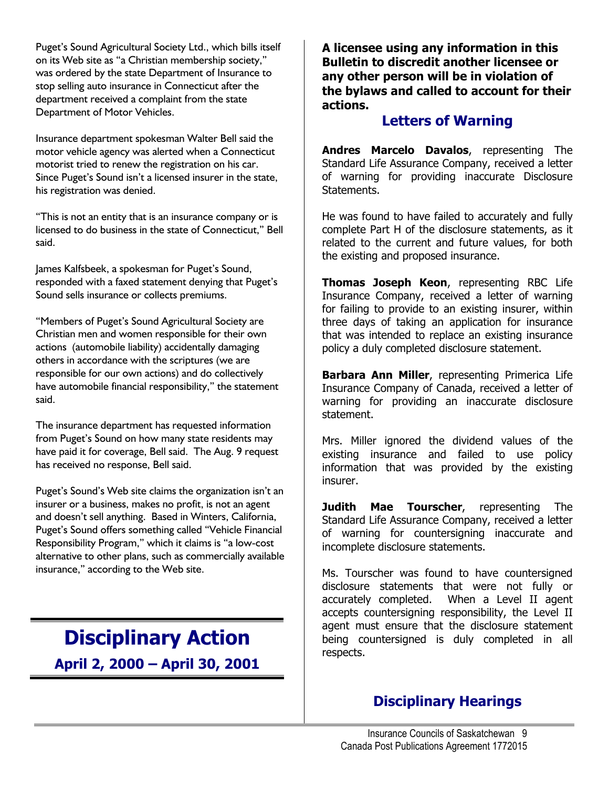Puget's Sound Agricultural Society Ltd., which bills itself on its Web site as "a Christian membership society," was ordered by the state Department of Insurance to stop selling auto insurance in Connecticut after the department received a complaint from the state Department of Motor Vehicles.

Insurance department spokesman Walter Bell said the motor vehicle agency was alerted when a Connecticut motorist tried to renew the registration on his car. Since Puget's Sound isn't a licensed insurer in the state, his registration was denied.

"This is not an entity that is an insurance company or is licensed to do business in the state of Connecticut," Bell said.

James Kalfsbeek, a spokesman for Puget's Sound, responded with a faxed statement denying that Puget's Sound sells insurance or collects premiums.

"Members of Puget's Sound Agricultural Society are Christian men and women responsible for their own actions (automobile liability) accidentally damaging others in accordance with the scriptures (we are responsible for our own actions) and do collectively have automobile financial responsibility," the statement said.

The insurance department has requested information from Puget's Sound on how many state residents may have paid it for coverage, Bell said. The Aug. 9 request has received no response, Bell said.

Puget's Sound's Web site claims the organization isn't an insurer or a business, makes no profit, is not an agent and doesn't sell anything. Based in Winters, California, Puget's Sound offers something called "Vehicle Financial Responsibility Program," which it claims is "a low-cost alternative to other plans, such as commercially available insurance," according to the Web site.

**Disciplinary Action April 2, 2000 – April 30, 2001** **A licensee using any information in this Bulletin to discredit another licensee or any other person will be in violation of the bylaws and called to account for their actions.** 

#### **Letters of Warning**

**Andres Marcelo Davalos**, representing The Standard Life Assurance Company, received a letter of warning for providing inaccurate Disclosure Statements.

He was found to have failed to accurately and fully complete Part H of the disclosure statements, as it related to the current and future values, for both the existing and proposed insurance.

**Thomas Joseph Keon**, representing RBC Life Insurance Company, received a letter of warning for failing to provide to an existing insurer, within three days of taking an application for insurance that was intended to replace an existing insurance policy a duly completed disclosure statement.

**Barbara Ann Miller**, representing Primerica Life Insurance Company of Canada, received a letter of warning for providing an inaccurate disclosure statement.

Mrs. Miller ignored the dividend values of the existing insurance and failed to use policy information that was provided by the existing insurer.

**Judith Mae Tourscher**, representing The Standard Life Assurance Company, received a letter of warning for countersigning inaccurate and incomplete disclosure statements.

Ms. Tourscher was found to have countersigned disclosure statements that were not fully or accurately completed. When a Level II agent accepts countersigning responsibility, the Level II agent must ensure that the disclosure statement being countersigned is duly completed in all respects.

### **Disciplinary Hearings**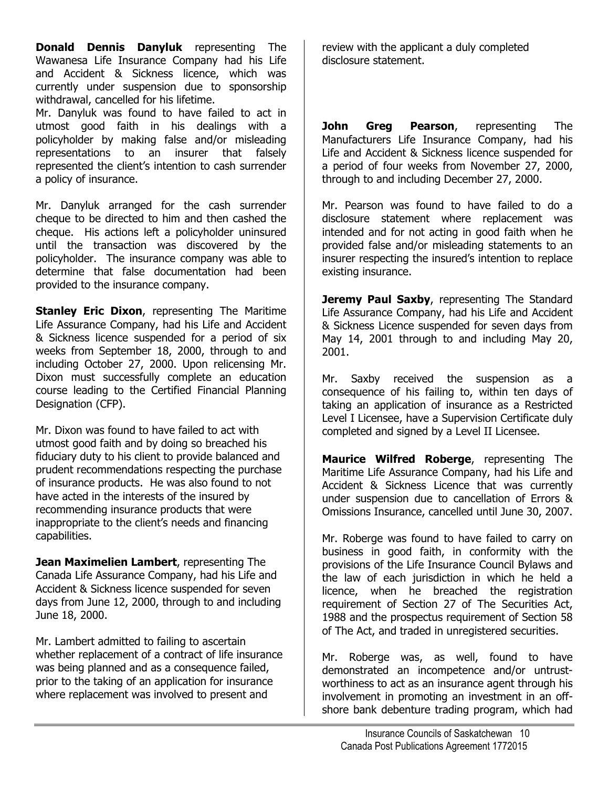**Donald Dennis Danyluk** representing The Wawanesa Life Insurance Company had his Life and Accident & Sickness licence, which was currently under suspension due to sponsorship withdrawal, cancelled for his lifetime.

Mr. Danyluk was found to have failed to act in utmost good faith in his dealings with a policyholder by making false and/or misleading representations to an insurer that falsely represented the client's intention to cash surrender a policy of insurance.

Mr. Danyluk arranged for the cash surrender cheque to be directed to him and then cashed the cheque. His actions left a policyholder uninsured until the transaction was discovered by the policyholder. The insurance company was able to determine that false documentation had been provided to the insurance company.

**Stanley Eric Dixon, representing The Maritime** Life Assurance Company, had his Life and Accident & Sickness licence suspended for a period of six weeks from September 18, 2000, through to and including October 27, 2000. Upon relicensing Mr. Dixon must successfully complete an education course leading to the Certified Financial Planning Designation (CFP).

Mr. Dixon was found to have failed to act with utmost good faith and by doing so breached his fiduciary duty to his client to provide balanced and prudent recommendations respecting the purchase of insurance products. He was also found to not have acted in the interests of the insured by recommending insurance products that were inappropriate to the client's needs and financing capabilities.

**Jean Maximelien Lambert**, representing The Canada Life Assurance Company, had his Life and Accident & Sickness licence suspended for seven days from June 12, 2000, through to and including June 18, 2000.

Mr. Lambert admitted to failing to ascertain whether replacement of a contract of life insurance was being planned and as a consequence failed, prior to the taking of an application for insurance where replacement was involved to present and

review with the applicant a duly completed disclosure statement.

**John Greg Pearson**, representing The Manufacturers Life Insurance Company, had his Life and Accident & Sickness licence suspended for a period of four weeks from November 27, 2000, through to and including December 27, 2000.

Mr. Pearson was found to have failed to do a disclosure statement where replacement was intended and for not acting in good faith when he provided false and/or misleading statements to an insurer respecting the insured's intention to replace existing insurance.

**Jeremy Paul Saxby, representing The Standard** Life Assurance Company, had his Life and Accident & Sickness Licence suspended for seven days from May 14, 2001 through to and including May 20, 2001.

Mr. Saxby received the suspension as a consequence of his failing to, within ten days of taking an application of insurance as a Restricted Level I Licensee, have a Supervision Certificate duly completed and signed by a Level II Licensee.

**Maurice Wilfred Roberge**, representing The Maritime Life Assurance Company, had his Life and Accident & Sickness Licence that was currently under suspension due to cancellation of Errors & Omissions Insurance, cancelled until June 30, 2007.

Mr. Roberge was found to have failed to carry on business in good faith, in conformity with the provisions of the Life Insurance Council Bylaws and the law of each jurisdiction in which he held a licence, when he breached the registration requirement of Section 27 of The Securities Act, 1988 and the prospectus requirement of Section 58 of The Act, and traded in unregistered securities.

Mr. Roberge was, as well, found to have demonstrated an incompetence and/or untrustworthiness to act as an insurance agent through his involvement in promoting an investment in an offshore bank debenture trading program, which had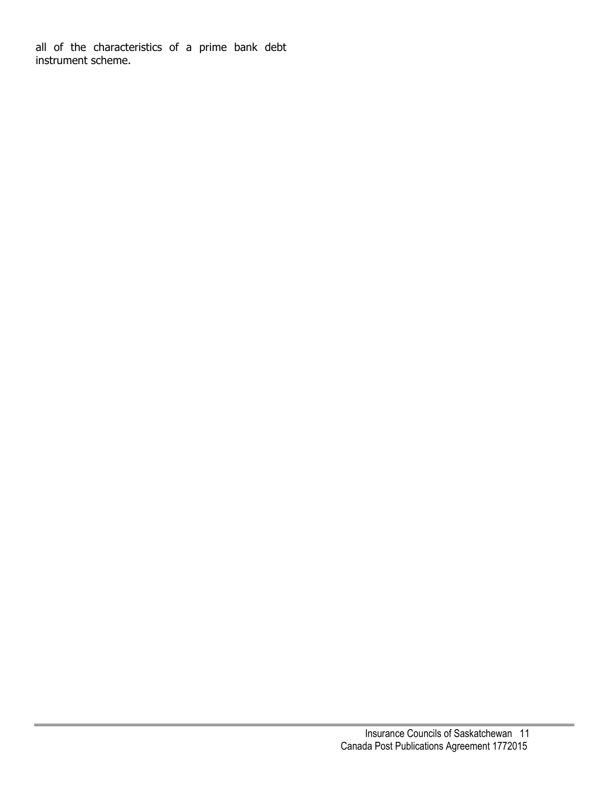all of the characteristics of a prime bank debt instrument scheme.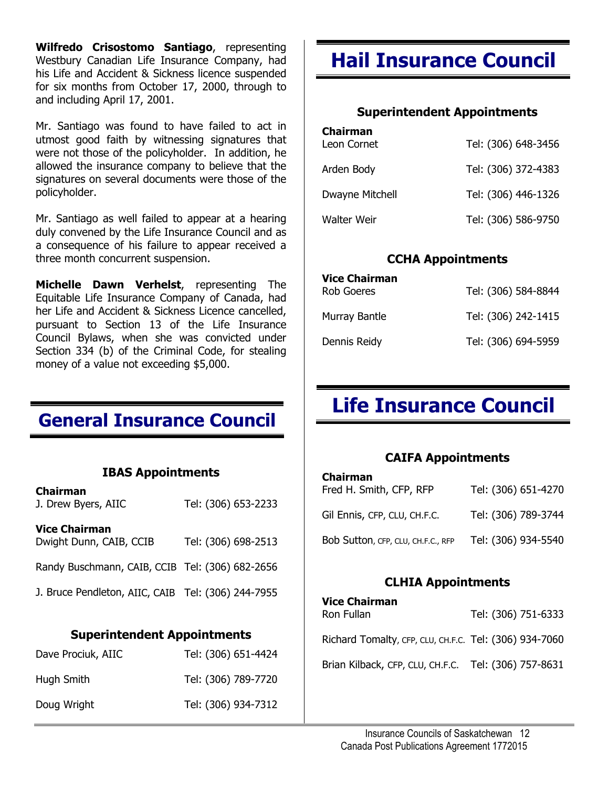**Wilfredo Crisostomo Santiago**, representing Westbury Canadian Life Insurance Company, had his Life and Accident & Sickness licence suspended for six months from October 17, 2000, through to and including April 17, 2001.

Mr. Santiago was found to have failed to act in utmost good faith by witnessing signatures that were not those of the policyholder. In addition, he allowed the insurance company to believe that the signatures on several documents were those of the policyholder.

Mr. Santiago as well failed to appear at a hearing duly convened by the Life Insurance Council and as a consequence of his failure to appear received a three month concurrent suspension.

**Michelle Dawn Verhelst**, representing The Equitable Life Insurance Company of Canada, had her Life and Accident & Sickness Licence cancelled, pursuant to Section 13 of the Life Insurance Council Bylaws, when she was convicted under Section 334 (b) of the Criminal Code, for stealing money of a value not exceeding \$5,000.

### **General Insurance Council**

#### **IBAS Appointments**

| <b>Chairman</b><br>J. Drew Byers, AIIC             | Tel: (306) 653-2233 |
|----------------------------------------------------|---------------------|
| <b>Vice Chairman</b><br>Dwight Dunn, CAIB, CCIB    | Tel: (306) 698-2513 |
| Randy Buschmann, CAIB, CCIB Tel: (306) 682-2656    |                     |
| J. Bruce Pendleton, AIIC, CAIB Tel: (306) 244-7955 |                     |

#### **Superintendent Appointments**

| Dave Prociuk, AIIC | Tel: (306) 651-4424 |
|--------------------|---------------------|
| Hugh Smith         | Tel: (306) 789-7720 |
| Doug Wright        | Tel: (306) 934-7312 |

## **Hail Insurance Council**

#### **Superintendent Appointments**

| <b>Chairman</b><br>Leon Cornet | Tel: (306) 648-3456 |
|--------------------------------|---------------------|
| Arden Body                     | Tel: (306) 372-4383 |
| Dwayne Mitchell                | Tel: (306) 446-1326 |
| Walter Weir                    | Tel: (306) 586-9750 |

#### **CCHA Appointments**

| <b>Vice Chairman</b> |                     |
|----------------------|---------------------|
| <b>Rob Goeres</b>    | Tel: (306) 584-8844 |
| Murray Bantle        | Tel: (306) 242-1415 |
| Dennis Reidy         | Tel: (306) 694-5959 |

## **Life Insurance Council**

#### **CAIFA Appointments**

| <b>Chairman</b><br>Fred H. Smith, CFP, RFP | Tel: (306) 651-4270 |
|--------------------------------------------|---------------------|
| Gil Ennis, CFP, CLU, CH.F.C.               | Tel: (306) 789-3744 |
| Bob Sutton, CFP, CLU, CH.F.C., RFP         | Tel: (306) 934-5540 |

#### **CLHIA Appointments**

| <b>Vice Chairman</b><br>Ron Fullan                     | Tel: (306) 751-6333 |
|--------------------------------------------------------|---------------------|
| Richard Tomalty, CFP, CLU, CH.F.C. Tel: (306) 934-7060 |                     |
| Brian Kilback, CFP, CLU, CH.F.C. Tel: (306) 757-8631   |                     |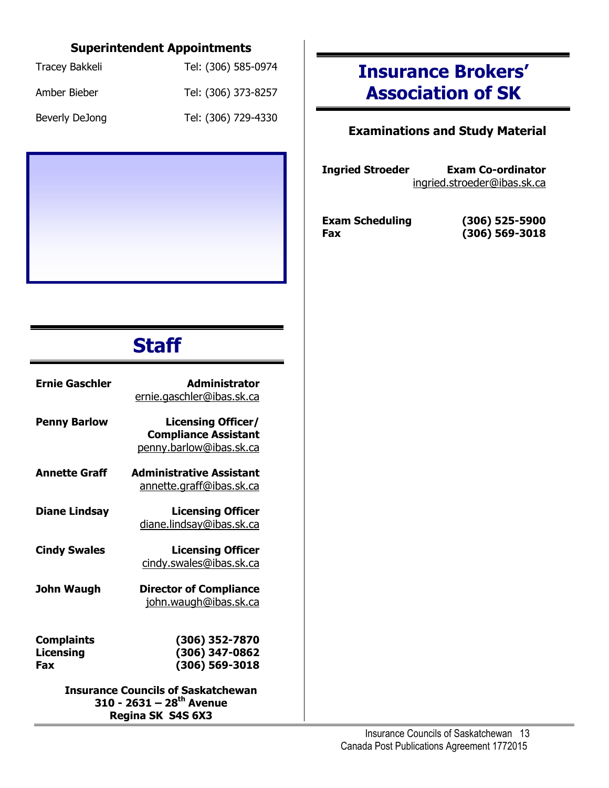### **Superintendent Appointments**

| Tracey Bakkeli | Tel: (306) 585-0974 |
|----------------|---------------------|
| Amber Bieber   | Tel: (306) 373-8257 |
| Beverly DeJong | Tel: (306) 729-4330 |



# **Staff**

| <b>Ernie Gaschler</b>                 | <b>Administrator</b><br>ernie.gaschler@ibas.sk.ca                                                      |
|---------------------------------------|--------------------------------------------------------------------------------------------------------|
| <b>Penny Barlow</b>                   | <b>Licensing Officer/</b><br><b>Compliance Assistant</b><br>penny.barlow@ibas.sk.ca                    |
| <b>Annette Graff</b>                  | <b>Administrative Assistant</b><br>annette.graff@ibas.sk.ca                                            |
| <b>Diane Lindsay</b>                  | <b>Licensing Officer</b><br>diane.lindsay@ibas.sk.ca                                                   |
| <b>Cindy Swales</b>                   | <b>Licensing Officer</b><br>cindy.swales@ibas.sk.ca                                                    |
| John Waugh                            | <b>Director of Compliance</b><br>john.waugh@ibas.sk.ca                                                 |
| <b>Complaints</b><br>Licensing<br>Fax | (306) 352-7870<br>(306) 347-0862<br>(306) 569-3018                                                     |
|                                       | <b>Insurance Councils of Saskatchewan</b><br>310 - 2631 - 28 <sup>th</sup> Avenue<br>Regina SK S4S 6X3 |

## **Insurance Brokers' Association of SK**

#### **Examinations and Study Material**

**Ingried Stroeder Exam Co-ordinator** [ingried.stroeder@ibas.sk.ca](mailto:Ingried.stroeder@ibas.sk.ca)

**Exam Scheduling (306) 525-5900 Fax (306) 569-3018**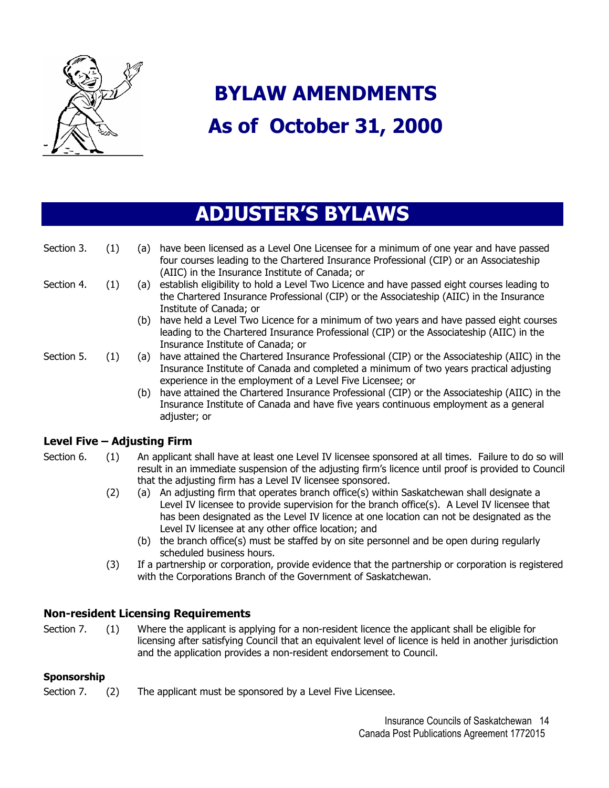

# **BYLAW AMENDMENTS As of October 31, 2000**

## **ADJUSTER'S BYLAWS**

| Section 3.                  | (1) | have been licensed as a Level One Licensee for a minimum of one year and have passed<br>(a)<br>four courses leading to the Chartered Insurance Professional (CIP) or an Associateship<br>(AIIC) in the Insurance Institute of Canada; or                  |
|-----------------------------|-----|-----------------------------------------------------------------------------------------------------------------------------------------------------------------------------------------------------------------------------------------------------------|
| Section 4.                  | (1) | establish eligibility to hold a Level Two Licence and have passed eight courses leading to<br>(a)<br>the Chartered Insurance Professional (CIP) or the Associateship (AIIC) in the Insurance<br>Institute of Canada; or                                   |
|                             |     | have held a Level Two Licence for a minimum of two years and have passed eight courses<br>(b)<br>leading to the Chartered Insurance Professional (CIP) or the Associateship (AIIC) in the<br>Insurance Institute of Canada; or                            |
| Section 5.                  | (1) | have attained the Chartered Insurance Professional (CIP) or the Associateship (AIIC) in the<br>(a)<br>Insurance Institute of Canada and completed a minimum of two years practical adjusting<br>experience in the employment of a Level Five Licensee; or |
|                             |     | (b) have attained the Chartered Insurance Professional (CIP) or the Associateship (AIIC) in the<br>Insurance Institute of Canada and have five years continuous employment as a general<br>adjuster; or                                                   |
| Level Five - Adjusting Firm |     |                                                                                                                                                                                                                                                           |
| Section 6.                  | (1) | An applicant shall have at least one Level IV licensee sponsored at all times. Failure to do so will                                                                                                                                                      |

### result in an immediate suspension of the adjusting firm's licence until proof is provided to Council that the adjusting firm has a Level IV licensee sponsored.

- (2) (a) An adjusting firm that operates branch office(s) within Saskatchewan shall designate a Level IV licensee to provide supervision for the branch office(s). A Level IV licensee that has been designated as the Level IV licence at one location can not be designated as the Level IV licensee at any other office location; and
	- (b) the branch office(s) must be staffed by on site personnel and be open during regularly scheduled business hours.
- (3) If a partnership or corporation, provide evidence that the partnership or corporation is registered with the Corporations Branch of the Government of Saskatchewan.

#### **Non-resident Licensing Requirements**

Section 7. (1) Where the applicant is applying for a non-resident licence the applicant shall be eligible for licensing after satisfying Council that an equivalent level of licence is held in another jurisdiction and the application provides a non-resident endorsement to Council.

#### **Sponsorship**

Section 7. (2) The applicant must be sponsored by a Level Five Licensee.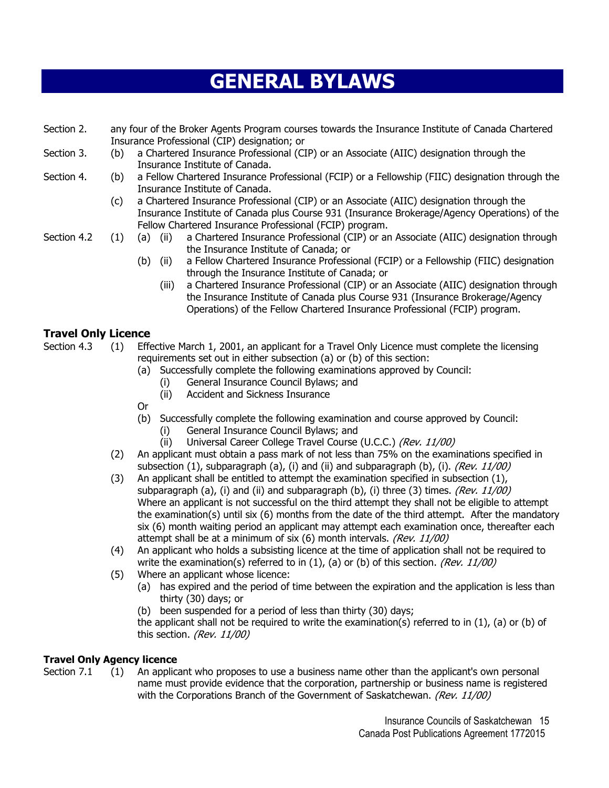# **GENERAL BYLAWS**

- Section 2. any four of the Broker Agents Program courses towards the Insurance Institute of Canada Chartered Insurance Professional (CIP) designation; or
- Section 3. (b) a Chartered Insurance Professional (CIP) or an Associate (AIIC) designation through the Insurance Institute of Canada.
- Section 4. (b) a Fellow Chartered Insurance Professional (FCIP) or a Fellowship (FIIC) designation through the Insurance Institute of Canada.
	- (c) a Chartered Insurance Professional (CIP) or an Associate (AIIC) designation through the Insurance Institute of Canada plus Course 931 (Insurance Brokerage/Agency Operations) of the Fellow Chartered Insurance Professional (FCIP) program.
- 
- Section 4.2 (1) (a) (ii) a Chartered Insurance Professional (CIP) or an Associate (AIIC) designation through the Insurance Institute of Canada; or
	- (b) (ii) a Fellow Chartered Insurance Professional (FCIP) or a Fellowship (FIIC) designation through the Insurance Institute of Canada; or
		- (iii) a Chartered Insurance Professional (CIP) or an Associate (AIIC) designation through the Insurance Institute of Canada plus Course 931 (Insurance Brokerage/Agency Operations) of the Fellow Chartered Insurance Professional (FCIP) program.

#### **Travel Only Licence**

Section 4.3 (1) Effective March 1, 2001, an applicant for a Travel Only Licence must complete the licensing requirements set out in either subsection (a) or (b) of this section:

- (a) Successfully complete the following examinations approved by Council:
	- (i) General Insurance Council Bylaws; and
	- (ii) Accident and Sickness Insurance
- **Contract Contract Or** 
	- (b) Successfully complete the following examination and course approved by Council:
		- (i) General Insurance Council Bylaws; and
		- (ii) Universal Career College Travel Course (U.C.C.) (Rev. 11/00)
	- (2) An applicant must obtain a pass mark of not less than 75% on the examinations specified in subsection (1), subparagraph (a), (i) and (ii) and subparagraph (b), (i). (Rev.  $11/00$ )
	- (3) An applicant shall be entitled to attempt the examination specified in subsection (1), subparagraph (a), (i) and (ii) and subparagraph (b), (i) three (3) times. (Rev.  $11/00$ ) Where an applicant is not successful on the third attempt they shall not be eligible to attempt the examination(s) until six (6) months from the date of the third attempt. After the mandatory six (6) month waiting period an applicant may attempt each examination once, thereafter each attempt shall be at a minimum of six (6) month intervals. (Rev. 11/00)
	- (4) An applicant who holds a subsisting licence at the time of application shall not be required to write the examination(s) referred to in  $(1)$ ,  $(a)$  or  $(b)$  of this section. (Rev. 11/00)
	- (5) Where an applicant whose licence:
		- (a) has expired and the period of time between the expiration and the application is less than thirty (30) days; or
		- (b) been suspended for a period of less than thirty (30) days;

the applicant shall not be required to write the examination(s) referred to in  $(1)$ ,  $(a)$  or  $(b)$  of this section. (Rev. 11/00)

#### **Travel Only Agency licence**

Section 7.1 (1) An applicant who proposes to use a business name other than the applicant's own personal name must provide evidence that the corporation, partnership or business name is registered with the Corporations Branch of the Government of Saskatchewan. (Rev. 11/00)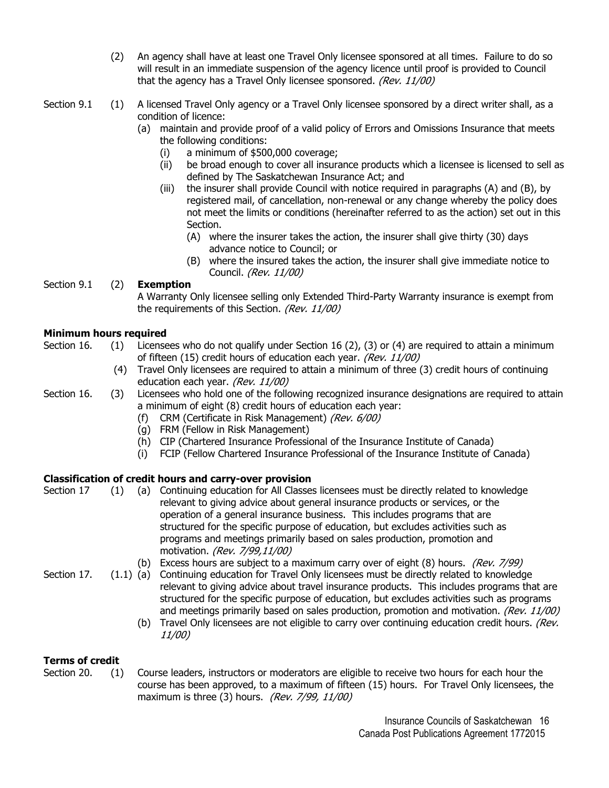- (2) An agency shall have at least one Travel Only licensee sponsored at all times. Failure to do so will result in an immediate suspension of the agency licence until proof is provided to Council that the agency has a Travel Only licensee sponsored. (Rev. 11/00)
- Section 9.1 (1) A licensed Travel Only agency or a Travel Only licensee sponsored by a direct writer shall, as a condition of licence:
	- (a) maintain and provide proof of a valid policy of Errors and Omissions Insurance that meets the following conditions:
		- (i) a minimum of \$500,000 coverage;
		- (ii) be broad enough to cover all insurance products which a licensee is licensed to sell as defined by The Saskatchewan Insurance Act; and
		- (iii) the insurer shall provide Council with notice required in paragraphs (A) and (B), by registered mail, of cancellation, non-renewal or any change whereby the policy does not meet the limits or conditions (hereinafter referred to as the action) set out in this Section.
			- (A) where the insurer takes the action, the insurer shall give thirty (30) days advance notice to Council; or
			- (B) where the insured takes the action, the insurer shall give immediate notice to Council. (Rev. 11/00)

#### Section 9.1 (2) **Exemption**

A Warranty Only licensee selling only Extended Third-Party Warranty insurance is exempt from the requirements of this Section. (Rev. 11/00)

#### **Minimum hours required**

- Section 16. (1) Licensees who do not qualify under Section 16 (2), (3) or (4) are required to attain a minimum of fifteen (15) credit hours of education each year. (Rev. 11/00)
	- (4) Travel Only licensees are required to attain a minimum of three (3) credit hours of continuing education each year. (Rev. 11/00)
- Section 16. (3) Licensees who hold one of the following recognized insurance designations are required to attain a minimum of eight (8) credit hours of education each year:
	- (f) CRM (Certificate in Risk Management) (Rev. 6/00)
	- (g) FRM (Fellow in Risk Management)
	- (h) CIP (Chartered Insurance Professional of the Insurance Institute of Canada)
	- (i) FCIP (Fellow Chartered Insurance Professional of the Insurance Institute of Canada)

#### **Classification of credit hours and carry-over provision**

(b) Excess hours are subject to a maximum carry over of eight (8) hours. (Rev. 7/99) Section 17 (1) (a) Continuing education for All Classes licensees must be directly related to knowledge relevant to giving advice about general insurance products or services, or the operation of a general insurance business. This includes programs that are structured for the specific purpose of education, but excludes activities such as programs and meetings primarily based on sales production, promotion and motivation. (Rev. 7/99,11/00)

Section 17. (1.1) (a) Continuing education for Travel Only licensees must be directly related to knowledge relevant to giving advice about travel insurance products. This includes programs that are structured for the specific purpose of education, but excludes activities such as programs and meetings primarily based on sales production, promotion and motivation. (Rev. 11/00)

(b) Travel Only licensees are not eligible to carry over continuing education credit hours. (Rev. 11/00)

#### **Terms of credit**

Section 20. (1) Course leaders, instructors or moderators are eligible to receive two hours for each hour the course has been approved, to a maximum of fifteen (15) hours. For Travel Only licensees, the maximum is three (3) hours. (Rev. 7/99, 11/00)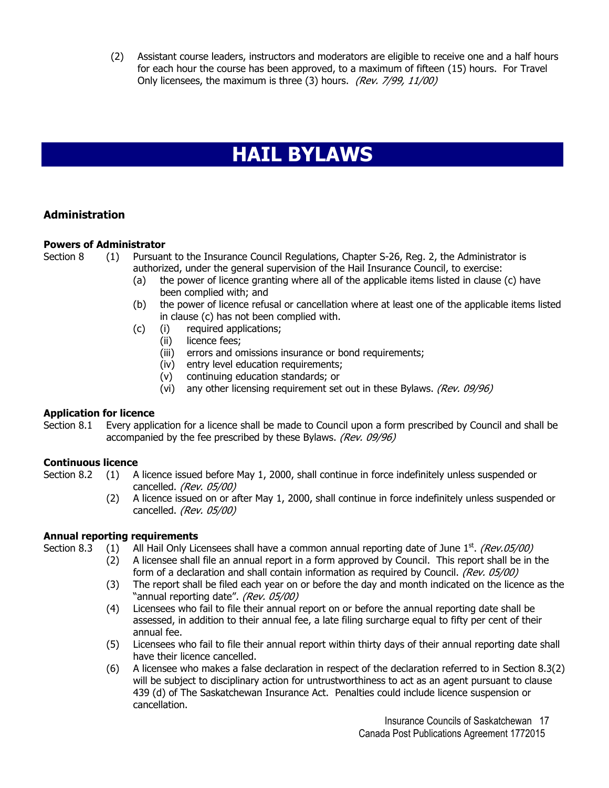(2) Assistant course leaders, instructors and moderators are eligible to receive one and a half hours for each hour the course has been approved, to a maximum of fifteen (15) hours. For Travel Only licensees, the maximum is three (3) hours. (Rev. 7/99, 11/00)

## **HAIL BYLAWS**

#### **Administration**

#### **Powers of Administrator**

Section 8 (1) Pursuant to the Insurance Council Regulations, Chapter S-26, Reg. 2, the Administrator is authorized, under the general supervision of the Hail Insurance Council, to exercise:

- (a) the power of licence granting where all of the applicable items listed in clause (c) have been complied with; and
- (b) the power of licence refusal or cancellation where at least one of the applicable items listed in clause (c) has not been complied with.
- (c) (i) required applications;
	- (ii) licence fees;
	- (iii) errors and omissions insurance or bond requirements;
	- (iv) entry level education requirements;
	- (v) continuing education standards; or
	- (vi) any other licensing requirement set out in these Bylaws. (Rev. 09/96)

#### **Application for licence**

Section 8.1 Every application for a licence shall be made to Council upon a form prescribed by Council and shall be accompanied by the fee prescribed by these Bylaws. (Rev. 09/96)

#### **Continuous licence**

- Section 8.2 (1) A licence issued before May 1, 2000, shall continue in force indefinitely unless suspended or cancelled. (Rev. 05/00)
	- (2) A licence issued on or after May 1, 2000, shall continue in force indefinitely unless suspended or cancelled. (Rev. 05/00)

#### **Annual reporting requirements**

- Section 8.3 (1) All Hail Only Licensees shall have a common annual reporting date of June  $1^{st}$ . (Rev.05/00)
	- (2) A licensee shall file an annual report in a form approved by Council. This report shall be in the form of a declaration and shall contain information as required by Council. (Rev. 05/00)
	- (3) The report shall be filed each year on or before the day and month indicated on the licence as the "annual reporting date". (Rev. 05/00)
	- (4) Licensees who fail to file their annual report on or before the annual reporting date shall be assessed, in addition to their annual fee, a late filing surcharge equal to fifty per cent of their annual fee.
	- (5) Licensees who fail to file their annual report within thirty days of their annual reporting date shall have their licence cancelled.
	- (6) A licensee who makes a false declaration in respect of the declaration referred to in Section 8.3(2) will be subject to disciplinary action for untrustworthiness to act as an agent pursuant to clause 439 (d) of The Saskatchewan Insurance Act. Penalties could include licence suspension or cancellation.

Insurance Councils of Saskatchewan 17 Canada Post Publications Agreement 1772015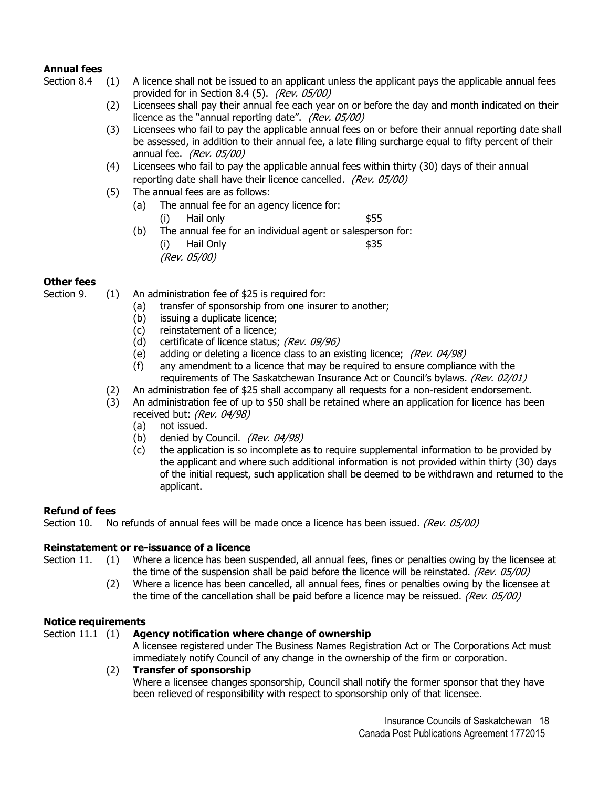#### **Annual fees**

- Section 8.4 (1) A licence shall not be issued to an applicant unless the applicant pays the applicable annual fees provided for in Section 8.4 (5). (Rev. 05/00)
	- (2) Licensees shall pay their annual fee each year on or before the day and month indicated on their licence as the "annual reporting date". (Rev. 05/00)
	- (3) Licensees who fail to pay the applicable annual fees on or before their annual reporting date shall be assessed, in addition to their annual fee, a late filing surcharge equal to fifty percent of their annual fee. (Rev. 05/00)
	- (4) Licensees who fail to pay the applicable annual fees within thirty (30) days of their annual reporting date shall have their licence cancelled. (Rev. 05/00)
	- (5) The annual fees are as follows:
		- (a) The annual fee for an agency licence for:
			- (i) Hail only \$55
		- (b) The annual fee for an individual agent or salesperson for: (i) Hail Only \$35 (Rev. 05/00)

#### **Other fees**

Section 9. (1) An administration fee of \$25 is required for:

- (a) transfer of sponsorship from one insurer to another;
- (b) issuing a duplicate licence;
- (c) reinstatement of a licence;
- (d) certificate of licence status; (Rev. 09/96)
- (e) adding or deleting a licence class to an existing licence; (Rev.  $04/98$ )
- (f) any amendment to a licence that may be required to ensure compliance with the requirements of The Saskatchewan Insurance Act or Council's bylaws. (Rev. 02/01)
- (2) An administration fee of \$25 shall accompany all requests for a non-resident endorsement.
- (3) An administration fee of up to \$50 shall be retained where an application for licence has been received but: (Rev. 04/98)
	- (a) not issued.
	- (b) denied by Council. (Rev. 04/98)
	- (c) the application is so incomplete as to require supplemental information to be provided by the applicant and where such additional information is not provided within thirty (30) days of the initial request, such application shall be deemed to be withdrawn and returned to the applicant.

#### **Refund of fees**

Section 10. No refunds of annual fees will be made once a licence has been issued. (Rev. 05/00)

#### **Reinstatement or re-issuance of a licence**

Section 11. (1) Where a licence has been suspended, all annual fees, fines or penalties owing by the licensee at the time of the suspension shall be paid before the licence will be reinstated. (Rev.  $0.05/00$ )

(2) Where a licence has been cancelled, all annual fees, fines or penalties owing by the licensee at the time of the cancellation shall be paid before a licence may be reissued. (Rev. 05/00)

#### **Notice requirements**

#### Section 11.1 (1) **Agency notification where change of ownership**

A licensee registered under The Business Names Registration Act or The Corporations Act must immediately notify Council of any change in the ownership of the firm or corporation.

#### (2) **Transfer of sponsorship**

Where a licensee changes sponsorship, Council shall notify the former sponsor that they have been relieved of responsibility with respect to sponsorship only of that licensee.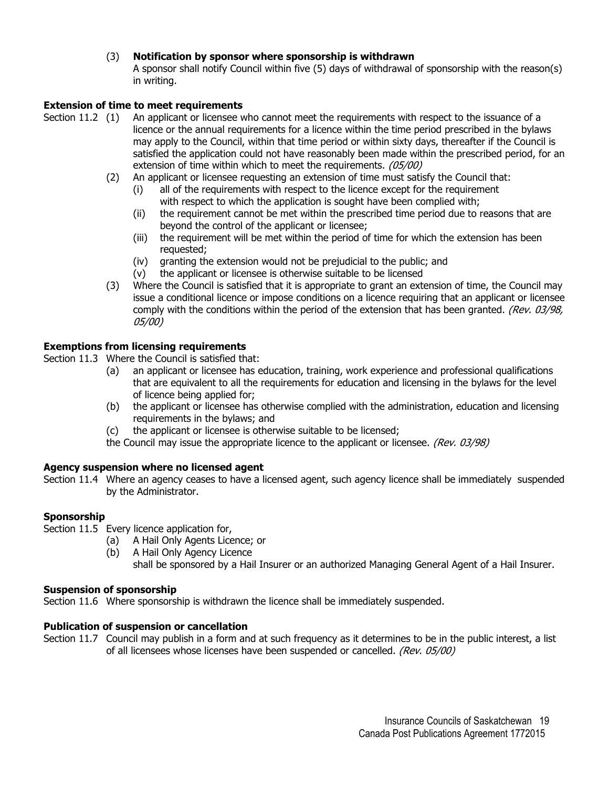#### (3) **Notification by sponsor where sponsorship is withdrawn**

A sponsor shall notify Council within five (5) days of withdrawal of sponsorship with the reason(s) in writing.

#### **Extension of time to meet requirements**

- Section 11.2 (1) An applicant or licensee who cannot meet the requirements with respect to the issuance of a licence or the annual requirements for a licence within the time period prescribed in the bylaws may apply to the Council, within that time period or within sixty days, thereafter if the Council is satisfied the application could not have reasonably been made within the prescribed period, for an extension of time within which to meet the requirements. (05/00)
	- (2) An applicant or licensee requesting an extension of time must satisfy the Council that:
		- (i) all of the requirements with respect to the licence except for the requirement with respect to which the application is sought have been complied with;
		- (ii) the requirement cannot be met within the prescribed time period due to reasons that are beyond the control of the applicant or licensee;
		- (iii) the requirement will be met within the period of time for which the extension has been requested;
		- (iv) granting the extension would not be prejudicial to the public; and
		- (v) the applicant or licensee is otherwise suitable to be licensed
	- (3) Where the Council is satisfied that it is appropriate to grant an extension of time, the Council may issue a conditional licence or impose conditions on a licence requiring that an applicant or licensee comply with the conditions within the period of the extension that has been granted. (Rev. 03/98, 05/00)

#### **Exemptions from licensing requirements**

Section 11.3 Where the Council is satisfied that:

- (a) an applicant or licensee has education, training, work experience and professional qualifications that are equivalent to all the requirements for education and licensing in the bylaws for the level of licence being applied for;
- (b) the applicant or licensee has otherwise complied with the administration, education and licensing requirements in the bylaws; and
- (c) the applicant or licensee is otherwise suitable to be licensed;

the Council may issue the appropriate licence to the applicant or licensee. (Rev.  $03/98$ )

#### **Agency suspension where no licensed agent**

Section 11.4 Where an agency ceases to have a licensed agent, such agency licence shall be immediately suspended by the Administrator.

#### **Sponsorship**

Section 11.5 Every licence application for,

- (a) A Hail Only Agents Licence; or
- (b) A Hail Only Agency Licence shall be sponsored by a Hail Insurer or an authorized Managing General Agent of a Hail Insurer.

#### **Suspension of sponsorship**

Section 11.6 Where sponsorship is withdrawn the licence shall be immediately suspended.

#### **Publication of suspension or cancellation**

Section 11.7 Council may publish in a form and at such frequency as it determines to be in the public interest, a list of all licensees whose licenses have been suspended or cancelled. (Rev. 05/00)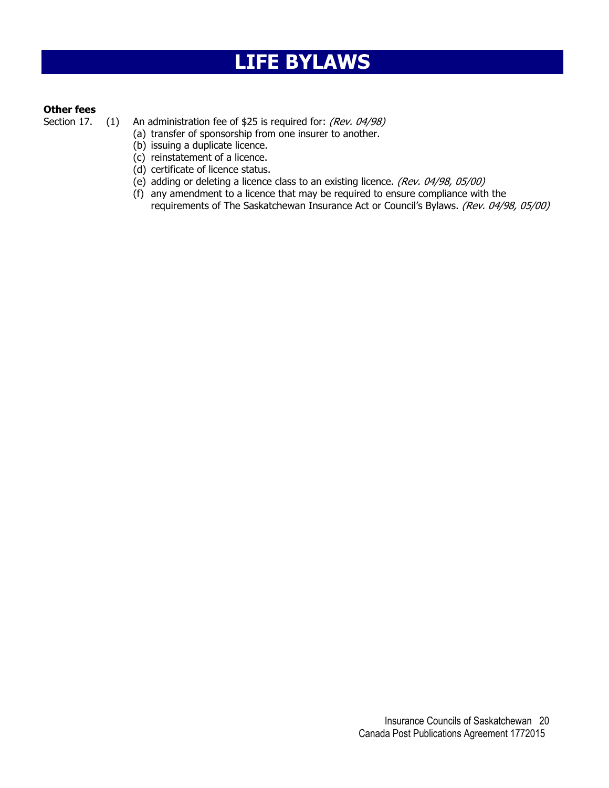## **LIFE BYLAWS**

#### **Other fees**

Section 17. (1) An administration fee of \$25 is required for: (Rev. 04/98)

- (a) transfer of sponsorship from one insurer to another.
- (b) issuing a duplicate licence.
- (c) reinstatement of a licence.
- (d) certificate of licence status.
- (e) adding or deleting a licence class to an existing licence. (Rev. 04/98, 05/00)
- (f) any amendment to a licence that may be required to ensure compliance with the requirements of The Saskatchewan Insurance Act or Council's Bylaws. (Rev. 04/98, 05/00)